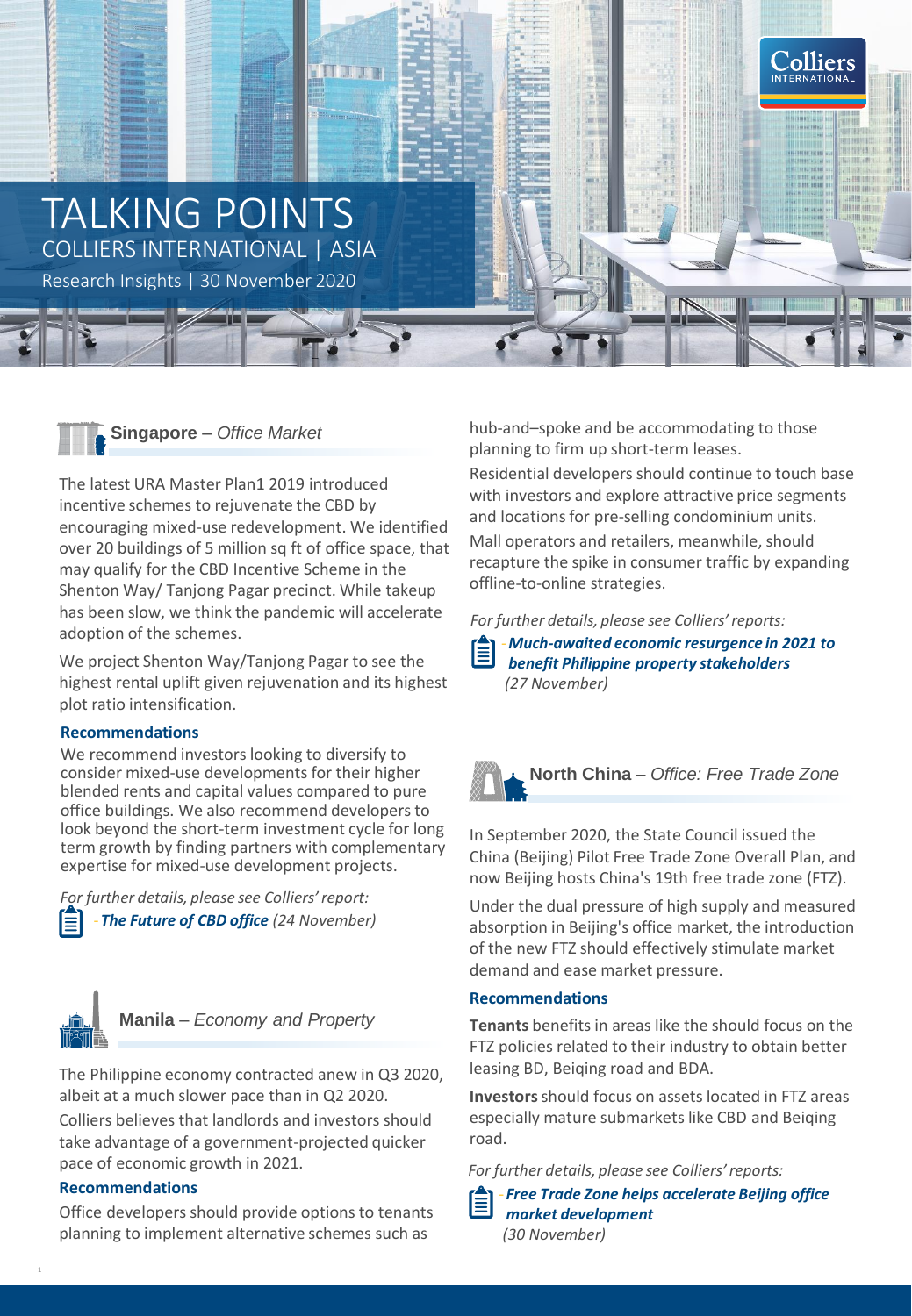



The latest URA Master Plan1 2019 introduced incentive schemes to rejuvenate the CBD by encouraging mixed-use redevelopment. We identified over 20 buildings of 5 million sq ft of office space, that may qualify for the CBD Incentive Scheme in the Shenton Way/ Tanjong Pagar precinct. While takeup has been slow, we think the pandemic will accelerate adoption of the schemes.

We project Shenton Way/Tanjong Pagar to see the highest rental uplift given rejuvenation and its highest plot ratio intensification.

# **Recommendations**

We recommend investors looking to diversify to consider mixed-use developments for their higher blended rents and capital values compared to pure office buildings. We also recommend developers to look beyond the short-term investment cycle for long term growth by finding partners with complementary expertise for mixed-use development projects.

‐ *The Future of CBD office (24 November) [For](https://www2.colliers.com/en-sg/research/2020-singapore-flash-report-mixed-use-developments-in-cbd) further details, please see Colliers' report:*



1

**Manila** *– Economy and Property*

The Philippine economy contracted anew in Q3 2020, albeit at a much slower pace than in Q2 2020.

Colliers believes that landlords and investors should take advantage of a government-projected quicker pace of economic growth in 2021.

# **Recommendations**

Office developers should provide options to tenants planning to implement alternative schemes such as

hub-and–spoke and be accommodating to those planning to firm up short-term leases.

Residential developers should continue to touch base with investors and explore attractive price segments and locations for pre-selling condominium units. Mall operators and retailers, meanwhile, should recapture the spike in consumer traffic by expanding offline-to-online strategies.

*For further details, please see Colliers' reports:*

‐*Much-awaited economic resurgence in 2021 to benefit Philippine property stakeholders (27 November)*



In September 2020, the State Council issued the China (Beijing) Pilot Free Trade Zone Overall Plan, and now Beijing hosts China's 19th free trade zone (FTZ).

Under the dual pressure of high supply and measured absorption in Beijing's office market, the introduction of the new FTZ should effectively stimulate market demand and ease market pressure.

# **Recommendations**

**Tenants** benefits in areas like the should focus on the FTZ policies related to their industry to obtain better leasing BD, Beiqing road and BDA.

**Investors**should focus on assets located in FTZ areas especially mature submarkets like CBD and Beiqing road.

*For further details, please see Colliers' reports:*

‐ *Free Trade Zone helps accelerate Beijing office market development (30 November)*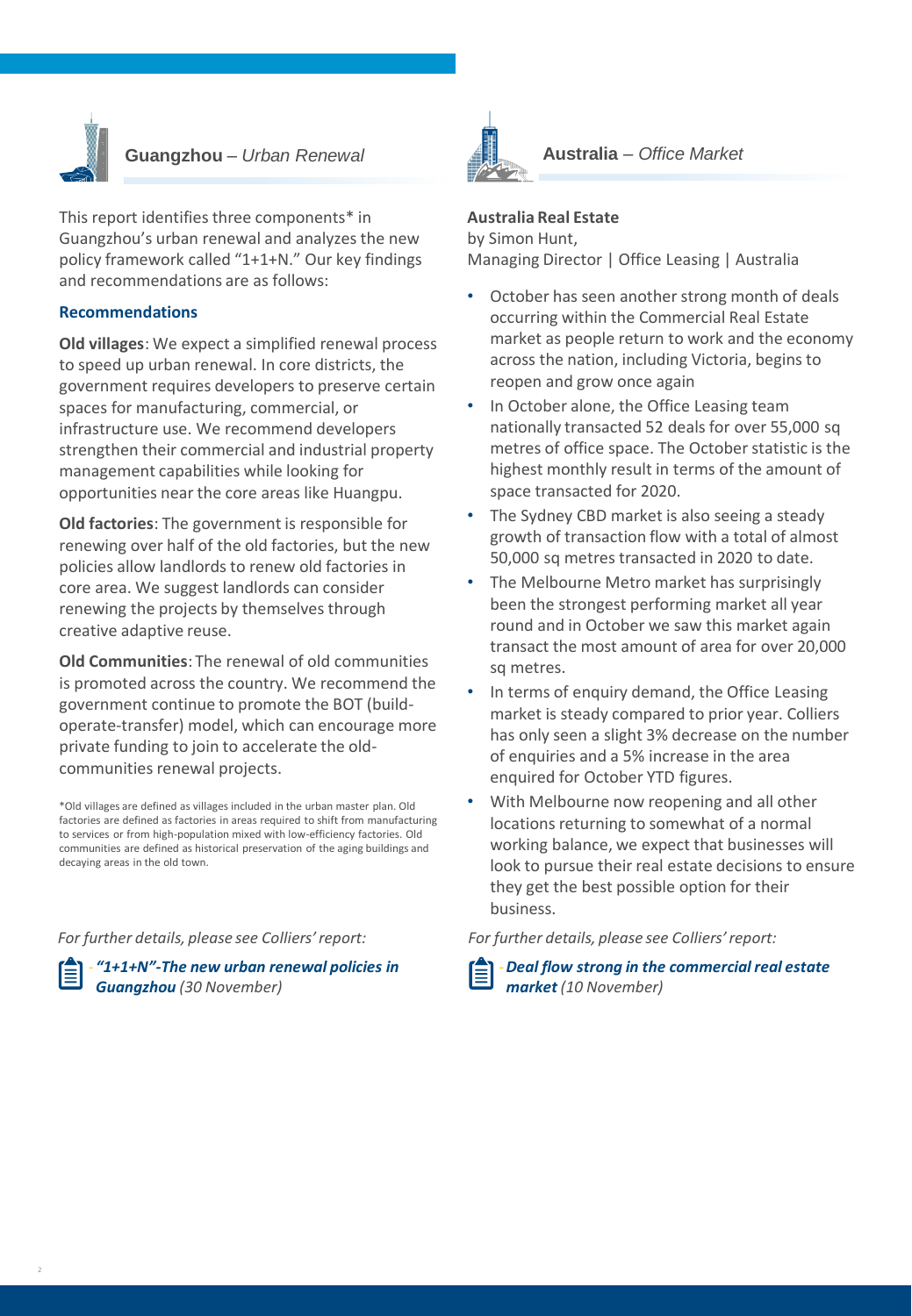

# **Guangzhou** *– Urban Renewal*

This report identifies three components\* in Guangzhou's urban renewal and analyzes the new policy framework called "1+1+N." Our key findings and recommendations are as follows:

### **Recommendations**

**Old villages**: We expect a simplified renewal process to speed up urban renewal. In core districts, the government requires developers to preserve certain spaces for manufacturing, commercial, or infrastructure use. We recommend developers strengthen their commercial and industrial property management capabilities while looking for opportunities near the core areas like Huangpu.

**Old factories**: The government is responsible for renewing over half of the old factories, but the new policies allow landlords to renew old factories in core area. We suggest landlords can consider renewing the projects by themselves through creative adaptive reuse.

**Old Communities**: The renewal of old communities is promoted across the country. We recommend the government continue to promote the BOT (buildoperate-transfer) model, which can encourage more private funding to join to accelerate the oldcommunities renewal projects.

\*Old villages are defined as villages included in the urban master plan. Old factories are defined as factories in areas required to shift from manufacturing to services or from high-population mixed with low-efficiency factories. Old communities are defined as historical preservation of the aging buildings and decaying areas in the old town.

*For further details, please see Colliers' report:*





### **Australia Real Estate**

by Simon Hunt, Managing Director | Office Leasing | Australia

- October has seen another strong month of deals occurring within the Commercial Real Estate market as people return to work and the economy across the nation, including Victoria, begins to reopen and grow once again
- In October alone, the Office Leasing team nationally transacted 52 deals for over 55,000 sq metres of office space. The October statistic is the highest monthly result in terms of the amount of space transacted for 2020.
- The Sydney CBD market is also seeing a steady growth of transaction flow with a total of almost 50,000 sq metres transacted in 2020 to date.
- The Melbourne Metro market has surprisingly been the strongest performing market all year round and in October we saw this market again transact the most amount of area for over 20,000 sq metres.
- In terms of enquiry demand, the Office Leasing market is steady compared to prior year. Colliers has only seen a slight 3% decrease on the number of enquiries and a 5% increase in the area enquired for October YTD figures.
- With Melbourne now reopening and all other locations returning to somewhat of a normal working balance, we expect that businesses will look to pursue their real estate decisions to ensure they get the best possible option for their business.

*For further details, please see Colliers' report:*



‐*Deal flow strong in the commercial real estate market (10 November)*